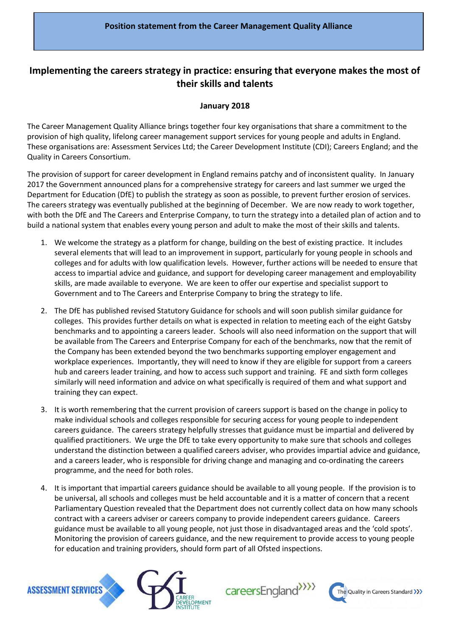## **Implementing the careers strategy in practice: ensuring that everyone makes the most of their skills and talents**

## **January 2018**

The Career Management Quality Alliance brings together four key organisations that share a commitment to the provision of high quality, lifelong career management support services for young people and adults in England. These organisations are: Assessment Services Ltd; the Career Development Institute (CDI); Careers England; and the Quality in Careers Consortium.

The provision of support for career development in England remains patchy and of inconsistent quality. In January 2017 the Government announced plans for a comprehensive strategy for careers and last summer we urged the Department for Education (DfE) to publish the strategy as soon as possible, to prevent further erosion of services. The careers strategy was eventually published at the beginning of December. We are now ready to work together, with both the DfE and The Careers and Enterprise Company, to turn the strategy into a detailed plan of action and to build a national system that enables every young person and adult to make the most of their skills and talents.

- 1. We welcome the strategy as a platform for change, building on the best of existing practice. It includes several elements that will lead to an improvement in support, particularly for young people in schools and colleges and for adults with low qualification levels. However, further actions will be needed to ensure that access to impartial advice and guidance, and support for developing career management and employability skills, are made available to everyone. We are keen to offer our expertise and specialist support to Government and to The Careers and Enterprise Company to bring the strategy to life.
- 2. The DfE has published revised Statutory Guidance for schools and will soon publish similar guidance for colleges. This provides further details on what is expected in relation to meeting each of the eight Gatsby benchmarks and to appointing a careers leader. Schools will also need information on the support that will be available from The Careers and Enterprise Company for each of the benchmarks, now that the remit of the Company has been extended beyond the two benchmarks supporting employer engagement and workplace experiences. Importantly, they will need to know if they are eligible for support from a careers hub and careers leader training, and how to access such support and training. FE and sixth form colleges similarly will need information and advice on what specifically is required of them and what support and training they can expect.
- 3. It is worth remembering that the current provision of careers support is based on the change in policy to make individual schools and colleges responsible for securing access for young people to independent careers guidance. The careers strategy helpfully stresses that guidance must be impartial and delivered by qualified practitioners. We urge the DfE to take every opportunity to make sure that schools and colleges understand the distinction between a qualified careers adviser, who provides impartial advice and guidance, and a careers leader, who is responsible for driving change and managing and co-ordinating the careers programme, and the need for both roles.
- 4. It is important that impartial careers guidance should be available to all young people. If the provision is to be universal, all schools and colleges must be held accountable and it is a matter of concern that a recent Parliamentary Question revealed that the Department does not currently collect data on how many schools contract with a careers adviser or careers company to provide independent careers guidance. Careers guidance must be available to all young people, not just those in disadvantaged areas and the 'cold spots'. Monitoring the provision of careers guidance, and the new requirement to provide access to young people for education and training providers, should form part of all Ofsted inspections.



careersEngland<sup>>>>></sup>

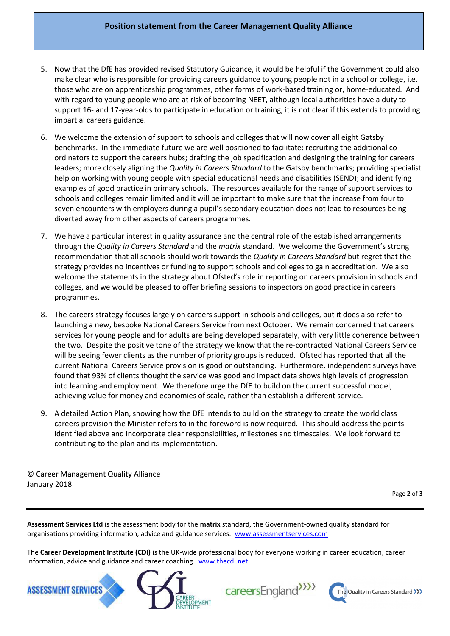## **Position statement from the Career Management Quality Alliance**

- 5. Now that the DfE has provided revised Statutory Guidance, it would be helpful if the Government could also make clear who is responsible for providing careers guidance to young people not in a school or college, i.e. those who are on apprenticeship programmes, other forms of work-based training or, home-educated. And with regard to young people who are at risk of becoming NEET, although local authorities have a duty to support 16- and 17-year-olds to participate in education or training, it is not clear if this extends to providing impartial careers guidance.
- 6. We welcome the extension of support to schools and colleges that will now cover all eight Gatsby benchmarks. In the immediate future we are well positioned to facilitate: recruiting the additional coordinators to support the careers hubs; drafting the job specification and designing the training for careers leaders; more closely aligning the *Quality in Careers Standard* to the Gatsby benchmarks; providing specialist help on working with young people with special educational needs and disabilities (SEND); and identifying examples of good practice in primary schools. The resources available for the range of support services to schools and colleges remain limited and it will be important to make sure that the increase from four to seven encounters with employers during a pupil's secondary education does not lead to resources being diverted away from other aspects of careers programmes.
- 7. We have a particular interest in quality assurance and the central role of the established arrangements through the *Quality in Careers Standard* and the *matrix* standard. We welcome the Government's strong recommendation that all schools should work towards the *Quality in Careers Standard* but regret that the strategy provides no incentives or funding to support schools and colleges to gain accreditation. We also welcome the statements in the strategy about Ofsted's role in reporting on careers provision in schools and colleges, and we would be pleased to offer briefing sessions to inspectors on good practice in careers programmes.
- 8. The careers strategy focuses largely on careers support in schools and colleges, but it does also refer to launching a new, bespoke National Careers Service from next October. We remain concerned that careers services for young people and for adults are being developed separately, with very little coherence between the two. Despite the positive tone of the strategy we know that the re-contracted National Careers Service will be seeing fewer clients as the number of priority groups is reduced. Ofsted has reported that all the current National Careers Service provision is good or outstanding. Furthermore, independent surveys have found that 93% of clients thought the service was good and impact data shows high levels of progression into learning and employment. We therefore urge the DfE to build on the current successful model, achieving value for money and economies of scale, rather than establish a different service.
- 9. A detailed Action Plan, showing how the DfE intends to build on the strategy to create the world class careers provision the Minister refers to in the foreword is now required. This should address the points identified above and incorporate clear responsibilities, milestones and timescales. We look forward to contributing to the plan and its implementation.

© Career Management Quality Alliance January 2018

Page **2** of **3**

**Assessment Services Ltd** is the assessment body for the **matrix** standard, the Government-owned quality standard for organisations providing information, advice and guidance services. [www.assessmentservices.com](http://www.assessmentservices.com/)

The **Career Development Institute (CDI)** is the UK-wide professional body for everyone working in career education, career information, advice and guidance and career coaching. [www.thecdi.net](http://www.thecdi.net/)





careersEngland<sup>>>>></sup>